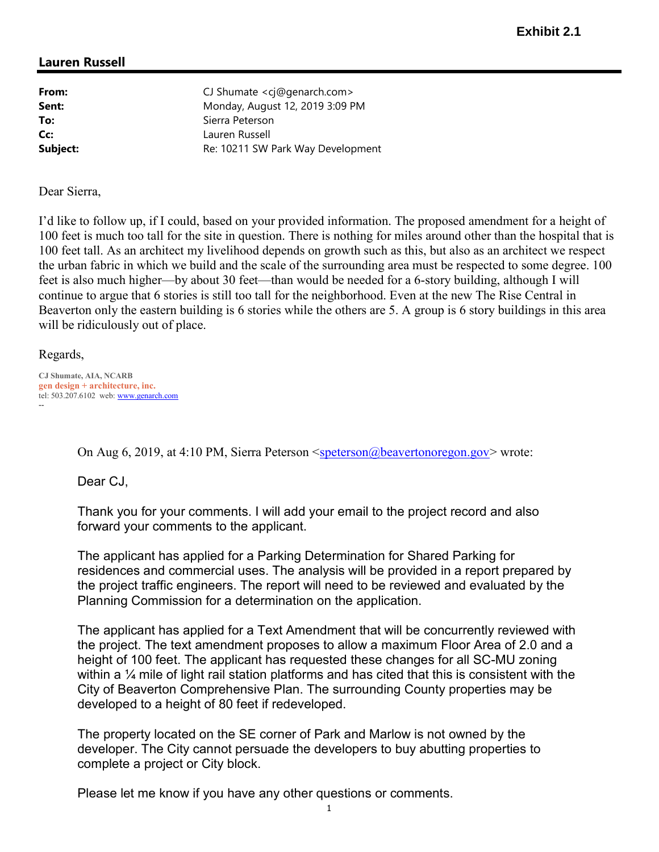# Lauren Russell

From: CJ Shumate <cj@genarch.com> **Sent:** Monday, August 12, 2019 3:09 PM To: Sierra Peterson Cc: Lauren Russell Subject: Re: 10211 SW Park Way Development

Dear Sierra,

I'd like to follow up, if I could, based on your provided information. The proposed amendment for a height of 100 feet is much too tall for the site in question. There is nothing for miles around other than the hospital that is 100 feet tall. As an architect my livelihood depends on growth such as this, but also as an architect we respect the urban fabric in which we build and the scale of the surrounding area must be respected to some degree. 100 feet is also much higher—by about 30 feet—than would be needed for a 6-story building, although I will continue to argue that 6 stories is still too tall for the neighborhood. Even at the new The Rise Central in Beaverton only the eastern building is 6 stories while the others are 5. A group is 6 story buildings in this area will be ridiculously out of place.

Regards,

CJ Shumate, AIA, NCARB gen design + architecture, inc. tel: 503.207.6102 web: www.genarch.com --

On Aug 6, 2019, at 4:10 PM, Sierra Peterson  $\leq$  speterson@beavertonoregon.gov> wrote:

Dear CJ,

Thank you for your comments. I will add your email to the project record and also forward your comments to the applicant.

The applicant has applied for a Parking Determination for Shared Parking for residences and commercial uses. The analysis will be provided in a report prepared by the project traffic engineers. The report will need to be reviewed and evaluated by the Planning Commission for a determination on the application.

The applicant has applied for a Text Amendment that will be concurrently reviewed with the project. The text amendment proposes to allow a maximum Floor Area of 2.0 and a height of 100 feet. The applicant has requested these changes for all SC-MU zoning within a  $\frac{1}{4}$  mile of light rail station platforms and has cited that this is consistent with the City of Beaverton Comprehensive Plan. The surrounding County properties may be developed to a height of 80 feet if redeveloped.

The property located on the SE corner of Park and Marlow is not owned by the developer. The City cannot persuade the developers to buy abutting properties to complete a project or City block.

Please let me know if you have any other questions or comments.

1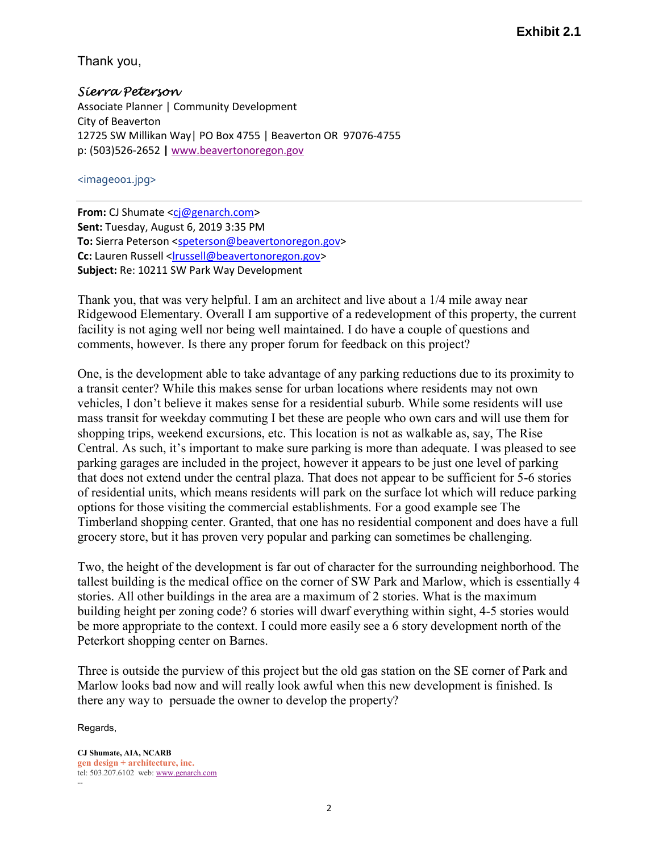Thank you,

Sierra Peterson Associate Planner | Community Development City of Beaverton 12725 SW Millikan Way| PO Box 4755 | Beaverton OR 97076-4755 p: (503)526-2652 | www.beavertonoregon.gov

<image001.jpg>

From: CJ Shumate <cj@genarch.com> Sent: Tuesday, August 6, 2019 3:35 PM To: Sierra Peterson <speterson@beavertonoregon.gov> Cc: Lauren Russell <lrussell@beavertonoregon.gov> Subject: Re: 10211 SW Park Way Development

Thank you, that was very helpful. I am an architect and live about a 1/4 mile away near Ridgewood Elementary. Overall I am supportive of a redevelopment of this property, the current facility is not aging well nor being well maintained. I do have a couple of questions and comments, however. Is there any proper forum for feedback on this project?

One, is the development able to take advantage of any parking reductions due to its proximity to a transit center? While this makes sense for urban locations where residents may not own vehicles, I don't believe it makes sense for a residential suburb. While some residents will use mass transit for weekday commuting I bet these are people who own cars and will use them for shopping trips, weekend excursions, etc. This location is not as walkable as, say, The Rise Central. As such, it's important to make sure parking is more than adequate. I was pleased to see parking garages are included in the project, however it appears to be just one level of parking that does not extend under the central plaza. That does not appear to be sufficient for 5-6 stories of residential units, which means residents will park on the surface lot which will reduce parking options for those visiting the commercial establishments. For a good example see The Timberland shopping center. Granted, that one has no residential component and does have a full grocery store, but it has proven very popular and parking can sometimes be challenging.

Two, the height of the development is far out of character for the surrounding neighborhood. The tallest building is the medical office on the corner of SW Park and Marlow, which is essentially 4 stories. All other buildings in the area are a maximum of 2 stories. What is the maximum building height per zoning code? 6 stories will dwarf everything within sight, 4-5 stories would be more appropriate to the context. I could more easily see a 6 story development north of the Peterkort shopping center on Barnes.

Three is outside the purview of this project but the old gas station on the SE corner of Park and Marlow looks bad now and will really look awful when this new development is finished. Is there any way to persuade the owner to develop the property?

Regards,

CJ Shumate, AIA, NCARB gen design + architecture, inc. tel: 503.207.6102 web: www.genarch.com --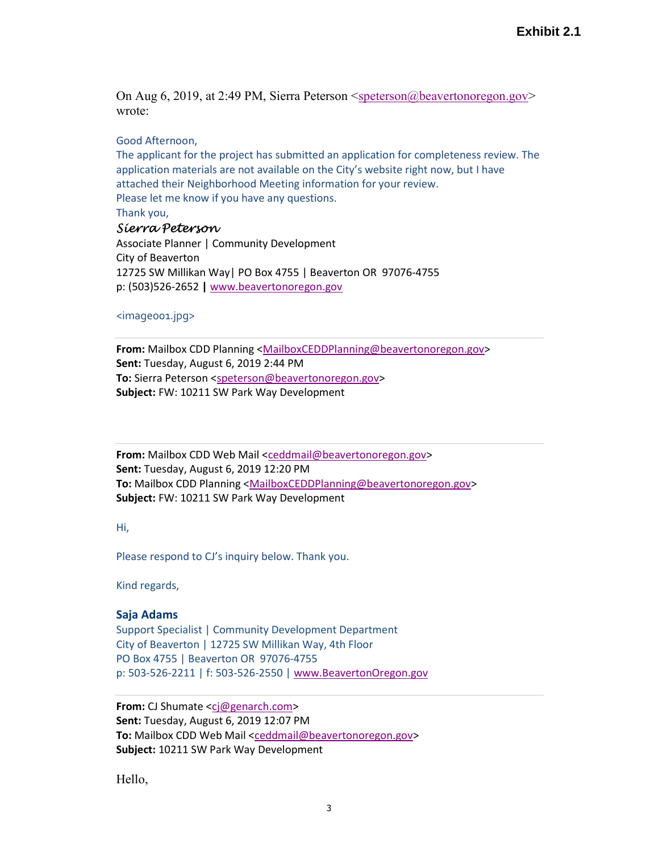On Aug 6, 2019, at 2:49 PM, Sierra Peterson  $\leq$  speterson $\omega$ beavertonoregon.gov> wrote:

#### Good Afternoon,

The applicant for the project has submitted an application for completeness review. The application materials are not available on the City's website right now, but I have attached their Neighborhood Meeting information for your review. Please let me know if you have any questions. Thank you,

## Sierra Peterson

Associate Planner | Community Development City of Beaverton 12725 SW Millikan Way| PO Box 4755 | Beaverton OR 97076-4755 p: (503)526-2652 | www.beavertonoregon.gov

### <image001.jpg>

From: Mailbox CDD Planning <MailboxCEDDPlanning@beavertonoregon.gov> Sent: Tuesday, August 6, 2019 2:44 PM To: Sierra Peterson <speterson@beavertonoregon.gov> Subject: FW: 10211 SW Park Way Development

From: Mailbox CDD Web Mail <ceddmail@beavertonoregon.gov> Sent: Tuesday, August 6, 2019 12:20 PM To: Mailbox CDD Planning <MailboxCEDDPlanning@beavertonoregon.gov> Subject: FW: 10211 SW Park Way Development

Hi,

Please respond to CJ's inquiry below. Thank you.

Kind regards,

#### Saja Adams

Support Specialist | Community Development Department City of Beaverton | 12725 SW Millikan Way, 4th Floor PO Box 4755 | Beaverton OR 97076-4755 p: 503-526-2211 | f: 503-526-2550 | www.BeavertonOregon.gov

From: CJ Shumate <cj@genarch.com> Sent: Tuesday, August 6, 2019 12:07 PM To: Mailbox CDD Web Mail <ceddmail@beavertonoregon.gov> Subject: 10211 SW Park Way Development

Hello,